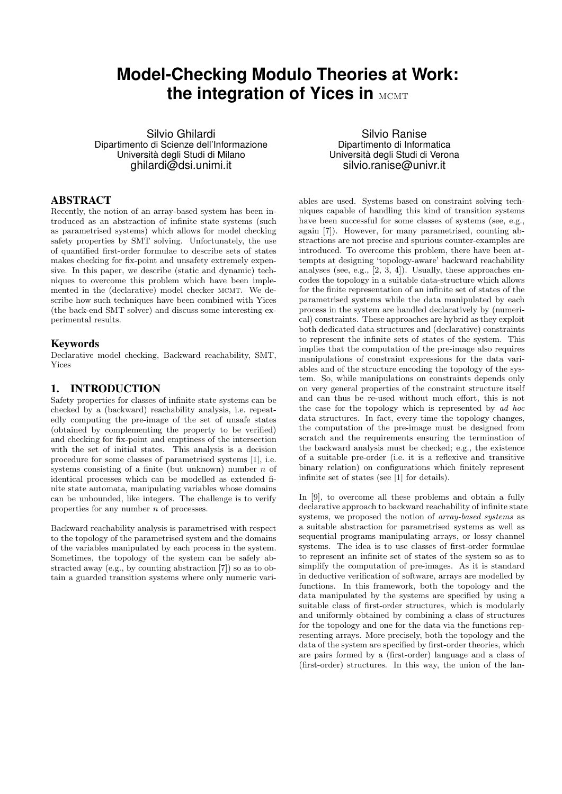# **Model-Checking Modulo Theories at Work: the integration of Yices in MCMT**

Silvio Ghilardi Dipartimento di Scienze dell'Informazione Università degli Studi di Milano ghilardi@dsi.unimi.it

## ABSTRACT

Recently, the notion of an array-based system has been introduced as an abstraction of infinite state systems (such as parametrised systems) which allows for model checking safety properties by SMT solving. Unfortunately, the use of quantified first-order formulae to describe sets of states makes checking for fix-point and unsafety extremely expensive. In this paper, we describe (static and dynamic) techniques to overcome this problem which have been implemented in the (declarative) model checker MCMT. We describe how such techniques have been combined with Yices (the back-end SMT solver) and discuss some interesting experimental results.

## Keywords

Declarative model checking, Backward reachability, SMT, Yices

# 1. INTRODUCTION

Safety properties for classes of infinite state systems can be checked by a (backward) reachability analysis, i.e. repeatedly computing the pre-image of the set of unsafe states (obtained by complementing the property to be verified) and checking for fix-point and emptiness of the intersection with the set of initial states. This analysis is a decision procedure for some classes of parametrised systems [1], i.e. systems consisting of a finite (but unknown) number  $n$  of identical processes which can be modelled as extended finite state automata, manipulating variables whose domains can be unbounded, like integers. The challenge is to verify properties for any number n of processes.

Backward reachability analysis is parametrised with respect to the topology of the parametrised system and the domains of the variables manipulated by each process in the system. Sometimes, the topology of the system can be safely abstracted away (e.g., by counting abstraction [7]) so as to obtain a guarded transition systems where only numeric vari-

Silvio Ranise Dipartimento di Informatica Università degli Studi di Verona silvio.ranise@univr.it

ables are used. Systems based on constraint solving techniques capable of handling this kind of transition systems have been successful for some classes of systems (see, e.g., again [7]). However, for many parametrised, counting abstractions are not precise and spurious counter-examples are introduced. To overcome this problem, there have been attempts at designing 'topology-aware' backward reachability analyses (see, e.g., [2, 3, 4]). Usually, these approaches encodes the topology in a suitable data-structure which allows for the finite representation of an infinite set of states of the parametrised systems while the data manipulated by each process in the system are handled declaratively by (numerical) constraints. These approaches are hybrid as they exploit both dedicated data structures and (declarative) constraints to represent the infinite sets of states of the system. This implies that the computation of the pre-image also requires manipulations of constraint expressions for the data variables and of the structure encoding the topology of the system. So, while manipulations on constraints depends only on very general properties of the constraint structure itself and can thus be re-used without much effort, this is not the case for the topology which is represented by ad hoc data structures. In fact, every time the topology changes, the computation of the pre-image must be designed from scratch and the requirements ensuring the termination of the backward analysis must be checked; e.g., the existence of a suitable pre-order (i.e. it is a reflexive and transitive binary relation) on configurations which finitely represent infinite set of states (see [1] for details).

In [9], to overcome all these problems and obtain a fully declarative approach to backward reachability of infinite state systems, we proposed the notion of array-based systems as a suitable abstraction for parametrised systems as well as sequential programs manipulating arrays, or lossy channel systems. The idea is to use classes of first-order formulae to represent an infinite set of states of the system so as to simplify the computation of pre-images. As it is standard in deductive verification of software, arrays are modelled by functions. In this framework, both the topology and the data manipulated by the systems are specified by using a suitable class of first-order structures, which is modularly and uniformly obtained by combining a class of structures for the topology and one for the data via the functions representing arrays. More precisely, both the topology and the data of the system are specified by first-order theories, which are pairs formed by a (first-order) language and a class of (first-order) structures. In this way, the union of the lan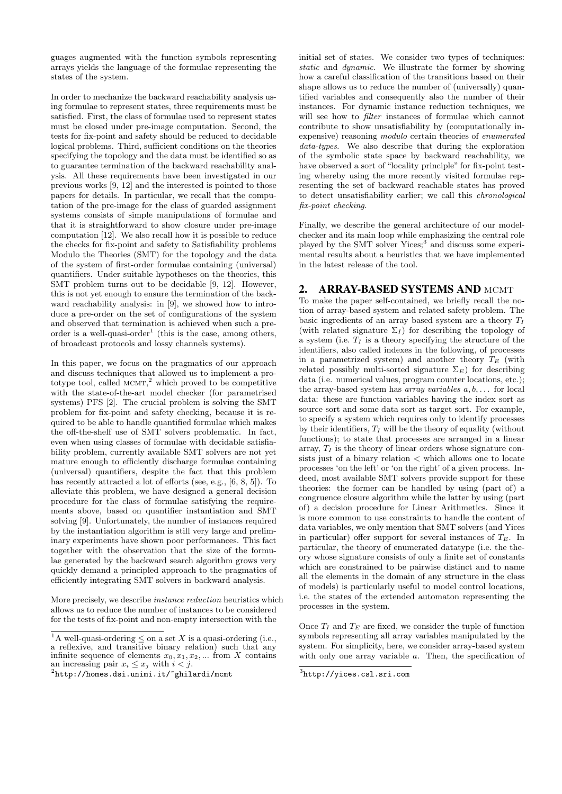guages augmented with the function symbols representing arrays yields the language of the formulae representing the states of the system.

In order to mechanize the backward reachability analysis using formulae to represent states, three requirements must be satisfied. First, the class of formulae used to represent states must be closed under pre-image computation. Second, the tests for fix-point and safety should be reduced to decidable logical problems. Third, sufficient conditions on the theories specifying the topology and the data must be identified so as to guarantee termination of the backward reachability analysis. All these requirements have been investigated in our previous works [9, 12] and the interested is pointed to those papers for details. In particular, we recall that the computation of the pre-image for the class of guarded assignment systems consists of simple manipulations of formulae and that it is straightforward to show closure under pre-image computation [12]. We also recall how it is possible to reduce the checks for fix-point and safety to Satisfiability problems Modulo the Theories (SMT) for the topology and the data of the system of first-order formulae containing (universal) quantifiers. Under suitable hypotheses on the theories, this SMT problem turns out to be decidable [9, 12]. However, this is not yet enough to ensure the termination of the backward reachability analysis: in [9], we showed how to introduce a pre-order on the set of configurations of the system and observed that termination is achieved when such a preorder is a well-quasi-order<sup>1</sup> (this is the case, among others, of broadcast protocols and lossy channels systems).

In this paper, we focus on the pragmatics of our approach and discuss techniques that allowed us to implement a prototype tool, called  $MCMT$ ,<sup>2</sup> which proved to be competitive with the state-of-the-art model checker (for parametrised systems) PFS [2]. The crucial problem is solving the SMT problem for fix-point and safety checking, because it is required to be able to handle quantified formulae which makes the off-the-shelf use of SMT solvers problematic. In fact, even when using classes of formulae with decidable satisfiability problem, currently available SMT solvers are not yet mature enough to efficiently discharge formulae containing (universal) quantifiers, despite the fact that this problem has recently attracted a lot of efforts (see, e.g., [6, 8, 5]). To alleviate this problem, we have designed a general decision procedure for the class of formulae satisfying the requirements above, based on quantifier instantiation and SMT solving [9]. Unfortunately, the number of instances required by the instantiation algorithm is still very large and preliminary experiments have shown poor performances. This fact together with the observation that the size of the formulae generated by the backward search algorithm grows very quickly demand a principled approach to the pragmatics of efficiently integrating SMT solvers in backward analysis.

More precisely, we describe instance reduction heuristics which allows us to reduce the number of instances to be considered for the tests of fix-point and non-empty intersection with the

initial set of states. We consider two types of techniques: static and dynamic. We illustrate the former by showing how a careful classification of the transitions based on their shape allows us to reduce the number of (universally) quantified variables and consequently also the number of their instances. For dynamic instance reduction techniques, we will see how to *filter* instances of formulae which cannot contribute to show unsatisfiability by (computationally inexpensive) reasoning modulo certain theories of enumerated data-types. We also describe that during the exploration of the symbolic state space by backward reachability, we have observed a sort of "locality principle" for fix-point testing whereby using the more recently visited formulae representing the set of backward reachable states has proved to detect unsatisfiability earlier; we call this chronological fix-point checking.

Finally, we describe the general architecture of our modelchecker and its main loop while emphasizing the central role played by the SMT solver Yices;<sup>3</sup> and discuss some experimental results about a heuristics that we have implemented in the latest release of the tool.

## 2. ARRAY-BASED SYSTEMS AND MCMT

To make the paper self-contained, we briefly recall the notion of array-based system and related safety problem. The basic ingredients of an array based system are a theory  $T_I$ (with related signature  $\Sigma_I$ ) for describing the topology of a system (i.e.  $T_I$  is a theory specifying the structure of the identifiers, also called indexes in the following, of processes in a parametrized system) and another theory  $T_E$  (with related possibly multi-sorted signature  $\Sigma_E$ ) for describing data (i.e. numerical values, program counter locations, etc.); the array-based system has *array variables*  $a, b, \ldots$  for local data: these are function variables having the index sort as source sort and some data sort as target sort. For example, to specify a system which requires only to identify processes by their identifiers,  $T_I$  will be the theory of equality (without functions); to state that processes are arranged in a linear array,  $T_I$  is the theory of linear orders whose signature consists just of a binary relation  $\lt$  which allows one to locate processes 'on the left' or 'on the right' of a given process. Indeed, most available SMT solvers provide support for these theories: the former can be handled by using (part of) a congruence closure algorithm while the latter by using (part of) a decision procedure for Linear Arithmetics. Since it is more common to use constraints to handle the content of data variables, we only mention that SMT solvers (and Yices in particular) offer support for several instances of  $T_E$ . In particular, the theory of enumerated datatype (i.e. the theory whose signature consists of only a finite set of constants which are constrained to be pairwise distinct and to name all the elements in the domain of any structure in the class of models) is particularly useful to model control locations, i.e. the states of the extended automaton representing the processes in the system.

Once  $T_I$  and  $T_E$  are fixed, we consider the tuple of function symbols representing all array variables manipulated by the system. For simplicity, here, we consider array-based system with only one array variable  $a$ . Then, the specification of

<sup>&</sup>lt;sup>1</sup>A well-quasi-ordering  $\leq$  on a set X is a quasi-ordering (i.e., a reflexive, and transitive binary relation) such that any infinite sequence of elements  $x_0, x_1, x_2, ...$  from X contains an increasing pair  $x_i \leq x_j$  with  $i < j$ .

 $^{2}$ http://homes.dsi.unimi.it/~ghilardi/m $\emph{cmt}$ 

 ${}^{3}$ http://yices.csl.sri.com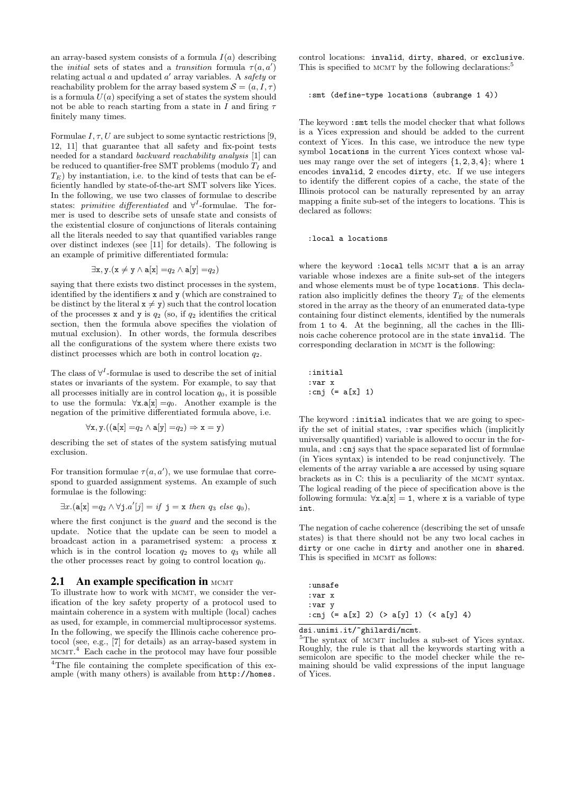an array-based system consists of a formula  $I(a)$  describing the *initial* sets of states and a *transition* formula  $\tau(a, a')$ relating actual  $a$  and updated  $a'$  array variables. A safety or reachability problem for the array based system  $\mathcal{S} = (a, I, \tau)$ is a formula  $U(a)$  specifying a set of states the system should not be able to reach starting from a state in I and firing  $\tau$ finitely many times.

Formulae  $I, \tau, U$  are subject to some syntactic restrictions [9, 12, 11] that guarantee that all safety and fix-point tests needed for a standard backward reachability analysis [1] can be reduced to quantifier-free SMT problems (modulo  $T_I$  and  $T_E$ ) by instantiation, i.e. to the kind of tests that can be efficiently handled by state-of-the-art SMT solvers like Yices. In the following, we use two classes of formulae to describe states: *primitive differentiated* and  $\forall^{I}$ -formulae. The former is used to describe sets of unsafe state and consists of the existential closure of conjunctions of literals containing all the literals needed to say that quantified variables range over distinct indexes (see [11] for details). The following is an example of primitive differentiated formula:

$$
\exists x, y. (x \neq y \land a[x] = q_2 \land a[y] = q_2)
$$

saying that there exists two distinct processes in the system, identified by the identifiers x and y (which are constrained to be distinct by the literal  $x \neq y$ ) such that the control location of the processes x and y is  $q_2$  (so, if  $q_2$  identifies the critical section, then the formula above specifies the violation of mutual exclusion). In other words, the formula describes all the configurations of the system where there exists two distinct processes which are both in control location  $q_2$ .

The class of  $\forall^{I}$ -formulae is used to describe the set of initial states or invariants of the system. For example, to say that all processes initially are in control location  $q_0$ , it is possible to use the formula:  $\forall x.\mathbf{a}[x] = q_0$ . Another example is the negation of the primitive differentiated formula above, i.e.

$$
\forall x, y. ((a[x] = q_2 \land a[y] = q_2) \Rightarrow x = y)
$$

describing the set of states of the system satisfying mutual exclusion.

For transition formulae  $\tau(a, a')$ , we use formulae that correspond to guarded assignment systems. An example of such formulae is the following:

$$
\exists x. (\mathbf{a}[\mathbf{x}] = q_2 \land \forall \mathbf{j}. a'[j] = if \mathbf{j} = \mathbf{x} \text{ then } q_3 \text{ else } q_0),
$$

where the first conjunct is the guard and the second is the update. Notice that the update can be seen to model a broadcast action in a parametrised system: a process x which is in the control location  $q_2$  moves to  $q_3$  while all the other processes react by going to control location  $q_0$ .

## 2.1 An example specification in  $MCMT$

To illustrate how to work with MCMT, we consider the verification of the key safety property of a protocol used to maintain coherence in a system with multiple (local) caches as used, for example, in commercial multiprocessor systems. In the following, we specify the Illinois cache coherence protocol (see, e.g., [7] for details) as an array-based system in MCMT.<sup>4</sup> Each cache in the protocol may have four possible

control locations: invalid, dirty, shared, or exclusive. This is specified to MCMT by the following declarations:<sup>5</sup>

#### :smt (define-type locations (subrange 1 4))

The keyword :smt tells the model checker that what follows is a Yices expression and should be added to the current context of Yices. In this case, we introduce the new type symbol locations in the current Yices context whose values may range over the set of integers  $\{1, 2, 3, 4\}$ ; where 1 encodes invalid, 2 encodes dirty, etc. If we use integers to identify the different copies of a cache, the state of the Illinois protocol can be naturally represented by an array mapping a finite sub-set of the integers to locations. This is declared as follows:

:local a locations

where the keyword : local tells MCMT that a is an array variable whose indexes are a finite sub-set of the integers and whose elements must be of type locations. This declaration also implicitly defines the theory  $T_E$  of the elements stored in the array as the theory of an enumerated data-type containing four distinct elements, identified by the numerals from 1 to 4. At the beginning, all the caches in the Illinois cache coherence protocol are in the state invalid. The corresponding declaration in MCMT is the following:

:initial :var x :cnj (= a[x] 1)

The keyword : initial indicates that we are going to specify the set of initial states, :var specifies which (implicitly universally quantified) variable is allowed to occur in the formula, and :cnj says that the space separated list of formulae (in Yices syntax) is intended to be read conjunctively. The elements of the array variable a are accessed by using square brackets as in C: this is a peculiarity of the MCMT syntax. The logical reading of the piece of specification above is the following formula:  $\forall x.\mathbf{a}[x] = 1$ , where x is a variable of type int.

The negation of cache coherence (describing the set of unsafe states) is that there should not be any two local caches in dirty or one cache in dirty and another one in shared. This is specified in MCMT as follows:

| :unsafe |  |  |                                        |  |  |
|---------|--|--|----------------------------------------|--|--|
| :var x  |  |  |                                        |  |  |
| :var v  |  |  |                                        |  |  |
|         |  |  | : cnj (= a[x] 2) (> a[y] 1) (< a[y] 4) |  |  |

dsi.unimi.it/~ghilardi/mcmt.

<sup>5</sup>The syntax of MCMT includes a sub-set of Yices syntax. Roughly, the rule is that all the keywords starting with a semicolon are specific to the model checker while the remaining should be valid expressions of the input language of Yices.

<sup>&</sup>lt;sup>4</sup>The file containing the complete specification of this example (with many others) is available from http://homes.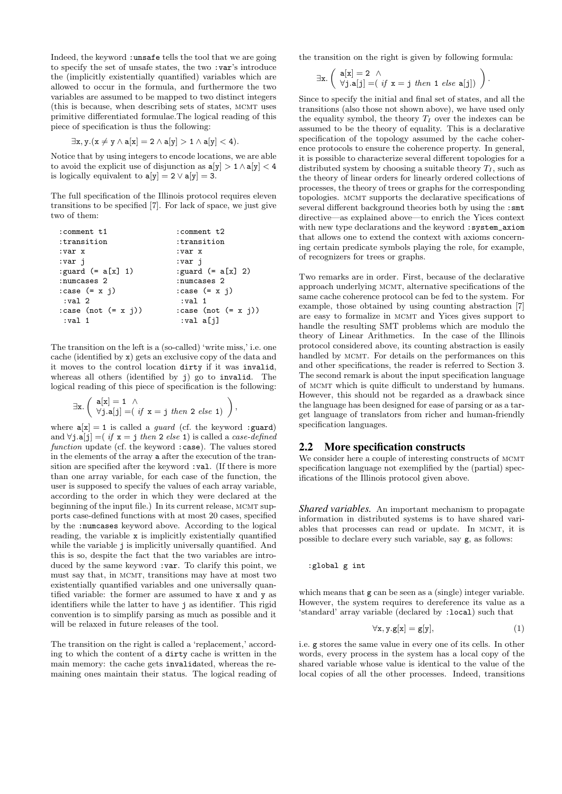Indeed, the keyword :unsafe tells the tool that we are going to specify the set of unsafe states, the two :var's introduce the (implicitly existentially quantified) variables which are allowed to occur in the formula, and furthermore the two variables are assumed to be mapped to two distinct integers (this is because, when describing sets of states, MCMT uses primitive differentiated formulae.The logical reading of this piece of specification is thus the following:

$$
\exists x,y.(x\neq y\wedge a[x]=2\wedge a[y]>1\wedge a[y]<4).
$$

Notice that by using integers to encode locations, we are able to avoid the explicit use of disjunction as  $a[y] > 1 \wedge a[y] < 4$ is logically equivalent to  $a[y] = 2 \vee a[y] = 3$ .

The full specification of the Illinois protocol requires eleven transitions to be specified [7]. For lack of space, we just give two of them:

| : comment t1               | :comment t2                            |
|----------------------------|----------------------------------------|
| :transition                | :transition                            |
| :var x                     | :var x                                 |
| :var j                     | :var j                                 |
| : guard $(= a[x] 1)$       | : guard $(= a[x] 2)$                   |
| :numcases 2                | :numcases 2                            |
| $: \case (= x j)$          | $: \case (= x j)$                      |
| :val <sub>2</sub>          | :val 1                                 |
| $: \case$ (not $(= x j)$ ) | $: \text{case} \text{ (not } (= x j))$ |
| :val <sub>1</sub>          | val a[j]:                              |

The transition on the left is a (so-called) 'write miss,' i.e. one cache (identified by x) gets an exclusive copy of the data and it moves to the control location dirty if it was invalid, whereas all others (identified by j) go to invalid. The logical reading of this piece of specification is the following:

$$
\exists x. \left( \begin{array}{c} a[x] = 1 \ \wedge \\ \forall j. a[j] = (\text{ if } x = j \text{ then } 2 \text{ else } 1) \end{array} \right),
$$

where  $a[x] = 1$  is called a *guard* (cf. the keyword : guard) and  $\forall j.\mathbf{a}[j] = (if \mathbf{x} = j \text{ then } 2 \text{ else } 1)$  is called a *case-defined* function update (cf. the keyword : case). The values stored in the elements of the array a after the execution of the transition are specified after the keyword :val. (If there is more than one array variable, for each case of the function, the user is supposed to specify the values of each array variable, according to the order in which they were declared at the beginning of the input file.) In its current release, MCMT supports case-defined functions with at most 20 cases, specified by the :numcases keyword above. According to the logical reading, the variable x is implicitly existentially quantified while the variable *j* is implicitly universally quantified. And this is so, despite the fact that the two variables are introduced by the same keyword :var. To clarify this point, we must say that, in MCMT, transitions may have at most two existentially quantified variables and one universally quantified variable: the former are assumed to have x and y as identifiers while the latter to have j as identifier. This rigid convention is to simplify parsing as much as possible and it will be relaxed in future releases of the tool.

The transition on the right is called a 'replacement,' according to which the content of a dirty cache is written in the main memory: the cache gets invalidated, whereas the remaining ones maintain their status. The logical reading of the transition on the right is given by following formula:

$$
\exists x. \left( \begin{array}{c} a[x]=2 \ \wedge \\ \forall j. a[j]= (\text{ if } x=j \text{ then } 1 \text{ else } a[j]) \end{array} \right).
$$

Since to specify the initial and final set of states, and all the transitions (also those not shown above), we have used only the equality symbol, the theory  $T_I$  over the indexes can be assumed to be the theory of equality. This is a declarative specification of the topology assumed by the cache coherence protocols to ensure the coherence property. In general, it is possible to characterize several different topologies for a distributed system by choosing a suitable theory  $T_I$ , such as the theory of linear orders for linearly ordered collections of processes, the theory of trees or graphs for the corresponding topologies. mcmt supports the declarative specifications of several different background theories both by using the :smt directive—as explained above—to enrich the Yices context with new type declarations and the keyword :system\_axiom that allows one to extend the context with axioms concerning certain predicate symbols playing the role, for example, of recognizers for trees or graphs.

Two remarks are in order. First, because of the declarative approach underlying mcmt, alternative specifications of the same cache coherence protocol can be fed to the system. For example, those obtained by using counting abstraction [7] are easy to formalize in mcmt and Yices gives support to handle the resulting SMT problems which are modulo the theory of Linear Arithmetics. In the case of the Illinois protocol considered above, its counting abstraction is easily handled by MCMT. For details on the performances on this and other specifications, the reader is referred to Section 3. The second remark is about the input specification language of mcmt which is quite difficult to understand by humans. However, this should not be regarded as a drawback since the language has been designed for ease of parsing or as a target language of translators from richer and human-friendly specification languages.

## 2.2 More specification constructs

We consider here a couple of interesting constructs of MCMT specification language not exemplified by the (partial) specifications of the Illinois protocol given above.

*Shared variables.* An important mechanism to propagate information in distributed systems is to have shared variables that processes can read or update. In MCMT, it is possible to declare every such variable, say g, as follows:

#### :global g int

which means that  $g \text{ can be seen as a (single) integer variable.}$ However, the system requires to dereference its value as a 'standard' array variable (declared by :local) such that

$$
\forall \mathbf{x}, \mathbf{y}. \mathbf{g}[\mathbf{x}] = \mathbf{g}[\mathbf{y}], \tag{1}
$$

i.e. g stores the same value in every one of its cells. In other words, every process in the system has a local copy of the shared variable whose value is identical to the value of the local copies of all the other processes. Indeed, transitions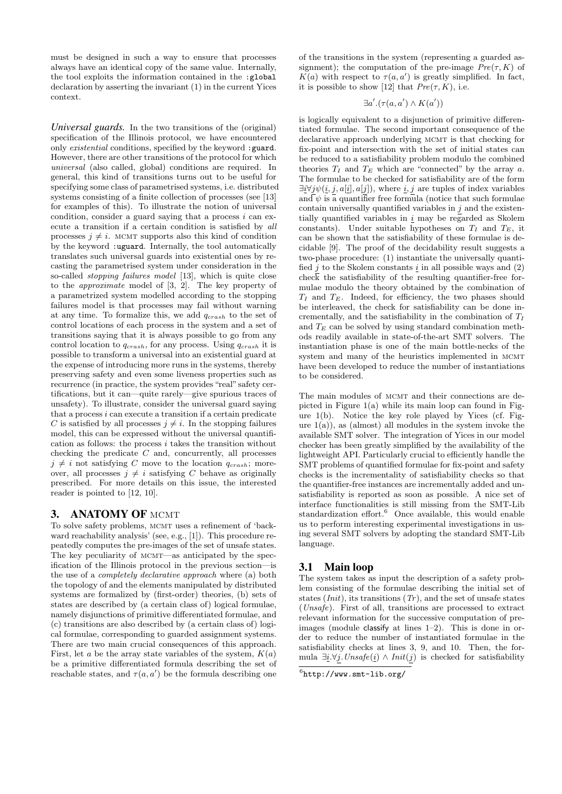must be designed in such a way to ensure that processes always have an identical copy of the same value. Internally, the tool exploits the information contained in the :global declaration by asserting the invariant (1) in the current Yices context.

*Universal guards.* In the two transitions of the (original) specification of the Illinois protocol, we have encountered only existential conditions, specified by the keyword :guard. However, there are other transitions of the protocol for which universal (also called, global) conditions are required. In general, this kind of transitions turns out to be useful for specifying some class of parametrised systems, i.e. distributed systems consisting of a finite collection of processes (see [13] for examples of this). To illustrate the notion of universal condition, consider a guard saying that a process  $i$  can execute a transition if a certain condition is satisfied by all processes  $j \neq i$ . MCMT supports also this kind of condition by the keyword :uguard. Internally, the tool automatically translates such universal guards into existential ones by recasting the parametrised system under consideration in the so-called stopping failures model [13], which is quite close to the approximate model of [3, 2]. The key property of a parametrized system modelled according to the stopping failures model is that processes may fail without warning at any time. To formalize this, we add  $q_{crash}$  to the set of control locations of each process in the system and a set of transitions saying that it is always possible to go from any control location to  $q_{crash}$ , for any process. Using  $q_{crash}$  it is possible to transform a universal into an existential guard at the expense of introducing more runs in the systems, thereby preserving safety and even some liveness properties such as recurrence (in practice, the system provides "real" safety certifications, but it can—quite rarely—give spurious traces of unsafety). To illustrate, consider the universal guard saying that a process i can execute a transition if a certain predicate C is satisfied by all processes  $i \neq i$ . In the stopping failures model, this can be expressed without the universal quantification as follows: the process i takes the transition without checking the predicate  $C$  and, concurrently, all processes  $i \neq i$  not satisfying C move to the location  $q_{crash}$ ; moreover, all processes  $j \neq i$  satisfying C behave as originally prescribed. For more details on this issue, the interested reader is pointed to [12, 10].

# 3. ANATOMY OF MCMT

To solve safety problems, MCMT uses a refinement of 'backward reachability analysis' (see, e.g., [1]). This procedure repeatedly computes the pre-images of the set of unsafe states. The key peculiarity of MCMT—as anticipated by the specification of the Illinois protocol in the previous section—is the use of a completely declarative approach where (a) both the topology of and the elements manipulated by distributed systems are formalized by (first-order) theories, (b) sets of states are described by (a certain class of) logical formulae, namely disjunctions of primitive differentiated formulae, and (c) transitions are also described by (a certain class of) logical formulae, corresponding to guarded assignment systems. There are two main crucial consequences of this approach. First, let a be the array state variables of the system,  $K(a)$ be a primitive differentiated formula describing the set of reachable states, and  $\tau(a, a')$  be the formula describing one

of the transitions in the system (representing a guarded assignment); the computation of the pre-image  $Pre(\tau, K)$  of  $K(a)$  with respect to  $\tau(a, a')$  is greatly simplified. In fact, it is possible to show [12] that  $Pre(\tau, K)$ , i.e.

$$
\exists a'.(\tau(a,a') \land K(a'))
$$

is logically equivalent to a disjunction of primitive differentiated formulae. The second important consequence of the declarative approach underlying MCMT is that checking for fix-point and intersection with the set of initial states can be reduced to a satisfiability problem modulo the combined theories  $T_I$  and  $T_E$  which are "connected" by the array a. The formulae to be checked for satisfiability are of the form  $\exists \underline{i} \forall \underline{j} \psi(\underline{i}, \underline{j}, a[\underline{i}], a[\underline{j}])$ , where  $\underline{i}, \underline{j}$  are tuples of index variables and  $\psi$  is a quantifier free formula (notice that such formulae contain universally quantified variables in  $j$  and the existentially quantified variables in  $\underline{i}$  may be regarded as Skolem constants). Under suitable hypotheses on  $T_I$  and  $T_E$ , it can be shown that the satisfiability of these formulae is decidable [9]. The proof of the decidability result suggests a two-phase procedure: (1) instantiate the universally quantified i to the Skolem constants i in all possible ways and  $(2)$  $\overline{\text{check}}$  the satisfiability of the resulting quantifier-free formulae modulo the theory obtained by the combination of  $T_I$  and  $T_E$ . Indeed, for efficiency, the two phases should be interleaved, the check for satisfiability can be done incrementally, and the satisfiability in the combination of  $T_I$ and  $T_E$  can be solved by using standard combination methods readily available in state-of-the-art SMT solvers. The instantiation phase is one of the main bottle-necks of the system and many of the heuristics implemented in MCMT have been developed to reduce the number of instantiations to be considered.

The main modules of MCMT and their connections are depicted in Figure 1(a) while its main loop can found in Figure 1(b). Notice the key role played by Yices (cf. Figure  $1(a)$ ), as (almost) all modules in the system invoke the available SMT solver. The integration of Yices in our model checker has been greatly simplified by the availability of the lightweight API. Particularly crucial to efficiently handle the SMT problems of quantified formulae for fix-point and safety checks is the incrementality of satisfiability checks so that the quantifier-free instances are incrementally added and unsatisfiability is reported as soon as possible. A nice set of interface functionalities is still missing from the SMT-Lib standardization effort.<sup>6</sup> Once available, this would enable us to perform interesting experimental investigations in using several SMT solvers by adopting the standard SMT-Lib language.

## 3.1 Main loop

The system takes as input the description of a safety problem consisting of the formulae describing the initial set of states  $(Init)$ , its transitions  $(Tr)$ , and the set of unsafe states (Unsafe). First of all, transitions are processed to extract relevant information for the successive computation of preimages (module classify at lines 1–2). This is done in order to reduce the number of instantiated formulae in the satisfiability checks at lines 3, 9, and 10. Then, the formula  $\exists \underline{i}.\forall j. Unsafe(\underline{i}) \wedge Init(j)$  is checked for satisfiability

 $<sup>6</sup>$ http://www.smt-lib.org/</sup>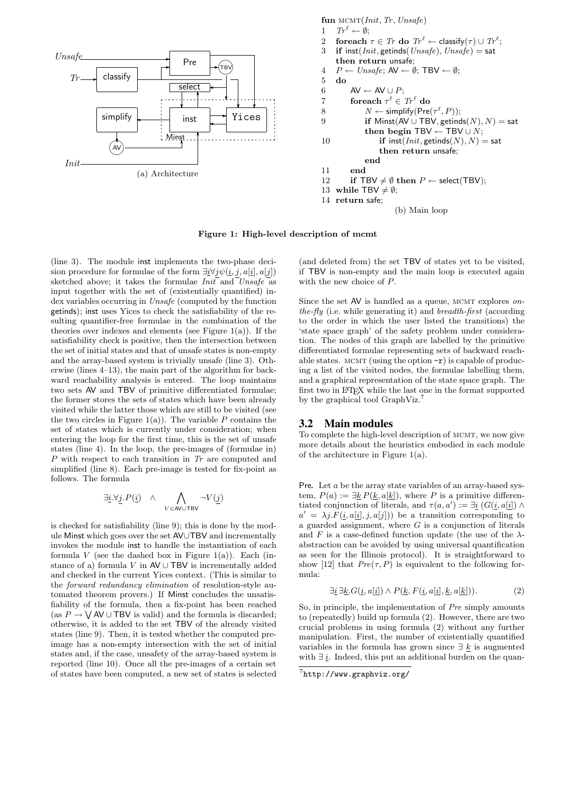

fun MCMT(*Init*, *Tr*, *Unsafe*)

\n1 
$$
Tr^{\ell} \leftarrow \emptyset
$$
;

\n2 **foreach**  $\tau \in Tr$  **do**  $Tr^{\ell} \leftarrow \text{classify}(\tau) \cup Tr^{\ell}$ ;

\n3 **if inst**(*Init*, **getinds**(*Unsafe*), *Unsafe*) = **sat then return unsafe**;

\n4  $P \leftarrow \text{Unsafe}$ ;  $AV \leftarrow \emptyset$ ; **TBV**  $\leftarrow \emptyset$ ;

\n5 **do**  $AV \leftarrow AV \cup P$ ;

\n7 **foreach**  $\tau^{\ell} \in Tr^{\ell}$  **do**  $N \leftarrow \text{simplif}(Pre(\tau^{\ell}, P))$ ;

\n9 **if** *Minst*( $AV \cup \text{TBV}$ , *getinds*( $N$ ),  $N$ ) = **sat then begin TBV**  $\leftarrow$  **TBV**  $\cup$   $N$ ;

\n10 **if inst**(*Init*, **getinds**( $N$ ),  $N$ ) = **sat then return unsafe**;

\n11 **end**

\n12 **if TBV** ≠  $\emptyset$  **then**  $P \leftarrow \text{select}(\text{TBV})$ ;

\n13 **while TBV** ≠  $\emptyset$ ;

\n14 **return safe**;

\n(b) **Main loop**

Figure 1: High-level description of mcmt

(line 3). The module inst implements the two-phase decision procedure for formulae of the form  $\exists \underline{i} \forall j \psi(\underline{i}, j, a[\underline{i}], a[j])$ sketched above; it takes the formulae  $Init$  and  $Unsafe$  as input together with the set of (existentially quantified) index variables occurring in Unsafe (computed by the function getinds); inst uses Yices to check the satisfiability of the resulting quantifier-free formulae in the combination of the theories over indexes and elements (see Figure  $1(a)$ ). If the satisfiability check is positive, then the intersection between the set of initial states and that of unsafe states is non-empty and the array-based system is trivially unsafe (line 3). Otherwise (lines 4–13), the main part of the algorithm for backward reachability analysis is entered. The loop maintains two sets AV and TBV of primitive differentiated formulae; the former stores the sets of states which have been already visited while the latter those which are still to be visited (see the two circles in Figure 1(a)). The variable  $P$  contains the set of states which is currently under consideration; when entering the loop for the first time, this is the set of unsafe states (line 4). In the loop, the pre-images of (formulae in) P with respect to each transition in Tr are computed and simplified (line 8). Each pre-image is tested for fix-point as follows. The formula

$$
\exists \underline{i}.\forall \underline{j}.P(\underline{i}) \quad \wedge \quad \bigwedge_{V \in \text{AVUTBV}} \neg V(\underline{j})
$$

is checked for satisfiability (line 9); this is done by the module Minst which goes over the set AV∪TBV and incrementally invokes the module inst to handle the instantiation of each formula  $V$  (see the dashed box in Figure 1(a)). Each (instance of a) formula  $V$  in  $AV \cup TBV$  is incrementally added and checked in the current Yices context. (This is similar to the forward redundancy elimination of resolution-style automated theorem provers.) If Minst concludes the unsatisfiability of the formula, then a fix-point has been reached (as  $P \to \bigvee$  AV  $\cup$  TBV is valid) and the formula is discarded; otherwise, it is added to the set TBV of the already visited states (line 9). Then, it is tested whether the computed preimage has a non-empty intersection with the set of initial states and, if the case, unsafety of the array-based system is reported (line 10). Once all the pre-images of a certain set of states have been computed, a new set of states is selected

(and deleted from) the set TBV of states yet to be visited, if TBV is non-empty and the main loop is executed again with the new choice of P.

Since the set  $AV$  is handled as a queue, MCMT explores onthe-fly (i.e. while generating it) and breadth-first (according to the order in which the user listed the transitions) the 'state space graph' of the safety problem under consideration. The nodes of this graph are labelled by the primitive differentiated formulae representing sets of backward reachable states. MCMT (using the option  $-r$ ) is capable of producing a list of the visited nodes, the formulae labelling them, and a graphical representation of the state space graph. The first two in LATEX while the last one in the format supported by the graphical tool GraphViz.<sup>7</sup>

## 3.2 Main modules

To complete the high-level description of MCMT, we now give more details about the heuristics embodied in each module of the architecture in Figure 1(a).

Pre. Let a be the array state variables of an array-based system,  $P(a) := \exists \underline{k} P(\underline{k}, a[\underline{k}])$ , where P is a primitive differentiated conjunction of literals, and  $\tau(a, a') := \exists \underline{i} (G(\underline{i}, a[\underline{i}]) \wedge$  $a' = \lambda j.F(\underline{i}, a[\underline{i}], j, a[j])$  be a transition corresponding to a guarded assignment, where  $G$  is a conjunction of literals and  $F$  is a case-defined function update (the use of the  $\lambda$ abstraction can be avoided by using universal quantification as seen for the Illinois protocol). It is straightforward to show [12] that  $Pre(\tau, P)$  is equivalent to the following formula:

$$
\exists \underline{i} \ \exists \underline{k}. G(\underline{i}, a[\underline{i}]) \land P(\underline{k}, F(\underline{i}, a[\underline{i}], \underline{k}, a[\underline{k}])). \tag{2}
$$

So, in principle, the implementation of Pre simply amounts to (repeatedly) build up formula (2). However, there are two crucial problems in using formula (2) without any further manipulation. First, the number of existentially quantified variables in the formula has grown since  $\exists k$  is augmented with  $\exists i$ . Indeed, this put an additional burden on the quan-

<sup>7</sup> http://www.graphviz.org/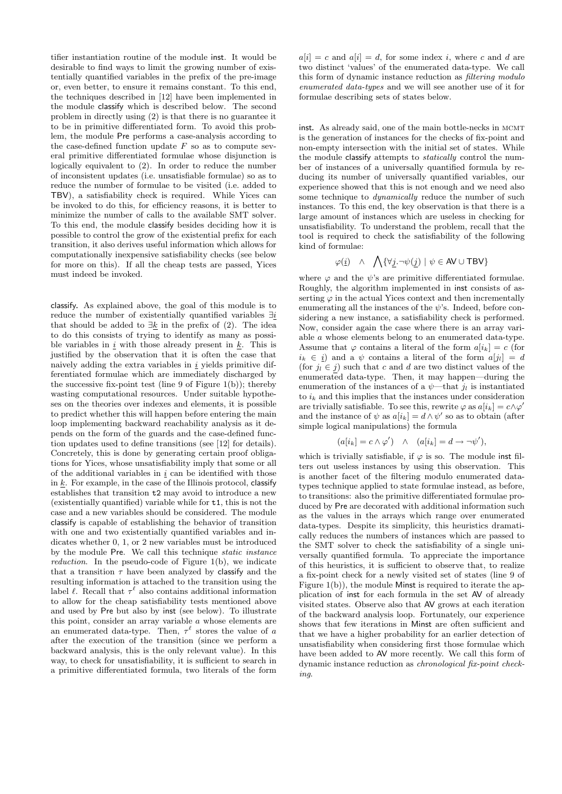tifier instantiation routine of the module inst. It would be desirable to find ways to limit the growing number of existentially quantified variables in the prefix of the pre-image or, even better, to ensure it remains constant. To this end, the techniques described in [12] have been implemented in the module classify which is described below. The second problem in directly using (2) is that there is no guarantee it to be in primitive differentiated form. To avoid this problem, the module Pre performs a case-analysis according to the case-defined function update  $F$  so as to compute several primitive differentiated formulae whose disjunction is logically equivalent to (2). In order to reduce the number of inconsistent updates (i.e. unsatisfiable formulae) so as to reduce the number of formulae to be visited (i.e. added to TBV), a satisfiability check is required. While Yices can be invoked to do this, for efficiency reasons, it is better to minimize the number of calls to the available SMT solver. To this end, the module classify besides deciding how it is possible to control the grow of the existential prefix for each transition, it also derives useful information which allows for computationally inexpensive satisfiability checks (see below for more on this). If all the cheap tests are passed, Yices must indeed be invoked.

classify*.* As explained above, the goal of this module is to reduce the number of existentially quantified variables ∃i that should be added to  $\exists k$  in the prefix of (2). The idea to do this consists of trying to identify as many as possible variables in  $\underline{i}$  with those already present in  $\underline{k}$ . This is justified by the observation that it is often the case that naively adding the extra variables in  $i$  yields primitive differentiated formulae which are immediately discharged by the successive fix-point test (line 9 of Figure 1(b)); thereby wasting computational resources. Under suitable hypotheses on the theories over indexes and elements, it is possible to predict whether this will happen before entering the main loop implementing backward reachability analysis as it depends on the form of the guards and the case-defined function updates used to define transitions (see [12] for details). Concretely, this is done by generating certain proof obligations for Yices, whose unsatisfiability imply that some or all of the additional variables in  $i$  can be identified with those in  $k$ . For example, in the case of the Illinois protocol, classify establishes that transition t2 may avoid to introduce a new (existentially quantified) variable while for t1, this is not the case and a new variables should be considered. The module classify is capable of establishing the behavior of transition with one and two existentially quantified variables and indicates whether 0, 1, or 2 new variables must be introduced by the module Pre. We call this technique static instance reduction. In the pseudo-code of Figure 1(b), we indicate that a transition  $\tau$  have been analyzed by classify and the resulting information is attached to the transition using the label  $\ell$ . Recall that  $\tau^{\ell}$  also contains additional information to allow for the cheap satisfiability tests mentioned above and used by Pre but also by inst (see below). To illustrate this point, consider an array variable a whose elements are an enumerated data-type. Then,  $\tau^{\ell}$  stores the value of a after the execution of the transition (since we perform a backward analysis, this is the only relevant value). In this way, to check for unsatisfiability, it is sufficient to search in a primitive differentiated formula, two literals of the form

 $a[i] = c$  and  $a[i] = d$ , for some index i, where c and d are two distinct 'values' of the enumerated data-type. We call this form of dynamic instance reduction as filtering modulo enumerated data-types and we will see another use of it for formulae describing sets of states below.

inst. As already said, one of the main bottle-necks in MCMT is the generation of instances for the checks of fix-point and non-empty intersection with the initial set of states. While the module classify attempts to *statically* control the number of instances of a universally quantified formula by reducing its number of universally quantified variables, our experience showed that this is not enough and we need also some technique to dynamically reduce the number of such instances. To this end, the key observation is that there is a large amount of instances which are useless in checking for unsatisfiability. To understand the problem, recall that the tool is required to check the satisfiability of the following kind of formulae:

$$
\varphi(\underline{i}) \quad \wedge \quad \bigwedge \{ \forall \underline{j} . \neg \psi(\underline{j}) \mid \psi \in \text{AV} \cup \text{TBV} \}
$$

where  $\varphi$  and the  $\psi$ 's are primitive differentiated formulae. Roughly, the algorithm implemented in inst consists of asserting  $\varphi$  in the actual Yices context and then incrementally enumerating all the instances of the  $\psi$ 's. Indeed, before considering a new instance, a satisfiability check is performed. Now, consider again the case where there is an array variable a whose elements belong to an enumerated data-type. Assume that  $\varphi$  contains a literal of the form  $a[i_k] = c$  (for  $i_k \in i$  and a  $\psi$  contains a literal of the form  $a[i_l] = d$ (for  $j_l \in j$ ) such that c and d are two distinct values of the enumerated data-type. Then, it may happen—during the enumeration of the instances of a  $\psi$ —that  $j_l$  is instantiated to  $i_k$  and this implies that the instances under consideration are trivially satisfiable. To see this, rewrite  $\varphi$  as  $a[i_k] = c \wedge \varphi'$ and the instance of  $\psi$  as  $a[i_k] = d \wedge \psi'$  so as to obtain (after simple logical manipulations) the formula

$$
(a[i_k] = c \wedge \varphi') \quad \wedge \quad (a[i_k] = d \rightarrow \neg \psi'),
$$

which is trivially satisfiable, if  $\varphi$  is so. The module inst filters out useless instances by using this observation. This is another facet of the filtering modulo enumerated datatypes technique applied to state formulae instead, as before, to transitions: also the primitive differentiated formulae produced by Pre are decorated with additional information such as the values in the arrays which range over enumerated data-types. Despite its simplicity, this heuristics dramatically reduces the numbers of instances which are passed to the SMT solver to check the satisfiability of a single universally quantified formula. To appreciate the importance of this heuristics, it is sufficient to observe that, to realize a fix-point check for a newly visited set of states (line 9 of Figure 1(b)), the module Minst is required to iterate the application of inst for each formula in the set AV of already visited states. Observe also that AV grows at each iteration of the backward analysis loop. Fortunately, our experience shows that few iterations in Minst are often sufficient and that we have a higher probability for an earlier detection of unsatisfiability when considering first those formulae which have been added to AV more recently. We call this form of dynamic instance reduction as chronological fix-point checking.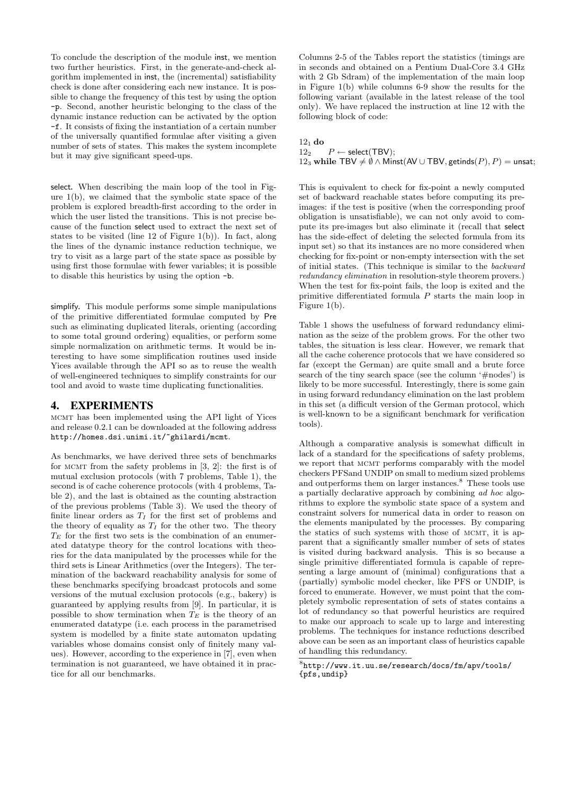To conclude the description of the module inst, we mention two further heuristics. First, in the generate-and-check algorithm implemented in inst, the (incremental) satisfiability check is done after considering each new instance. It is possible to change the frequency of this test by using the option -p. Second, another heuristic belonging to the class of the dynamic instance reduction can be activated by the option -f. It consists of fixing the instantiation of a certain number of the universally quantified formulae after visiting a given number of sets of states. This makes the system incomplete but it may give significant speed-ups.

select*.* When describing the main loop of the tool in Figure 1(b), we claimed that the symbolic state space of the problem is explored breadth-first according to the order in which the user listed the transitions. This is not precise because of the function select used to extract the next set of states to be visited (line 12 of Figure 1(b)). In fact, along the lines of the dynamic instance reduction technique, we try to visit as a large part of the state space as possible by using first those formulae with fewer variables; it is possible to disable this heuristics by using the option -b.

simplify*.* This module performs some simple manipulations of the primitive differentiated formulae computed by Pre such as eliminating duplicated literals, orienting (according to some total ground ordering) equalities, or perform some simple normalization on arithmetic terms. It would be interesting to have some simplification routines used inside Yices available through the API so as to reuse the wealth of well-engineered techniques to simplify constraints for our tool and avoid to waste time duplicating functionalities.

# 4. EXPERIMENTS

mcmt has been implemented using the API light of Yices and release 0.2.1 can be downloaded at the following address http://homes.dsi.unimi.it/~ghilardi/mcmt.

As benchmarks, we have derived three sets of benchmarks for MCMT from the safety problems in  $[3, 2]$ : the first is of mutual exclusion protocols (with 7 problems, Table 1), the second is of cache coherence protocols (with 4 problems, Table 2), and the last is obtained as the counting abstraction of the previous problems (Table 3). We used the theory of finite linear orders as  $T_I$  for the first set of problems and the theory of equality as  $T_I$  for the other two. The theory  $T_E$  for the first two sets is the combination of an enumerated datatype theory for the control locations with theories for the data manipulated by the processes while for the third sets is Linear Arithmetics (over the Integers). The termination of the backward reachability analysis for some of these benchmarks specifying broadcast protocols and some versions of the mutual exclusion protocols (e.g., bakery) is guaranteed by applying results from [9]. In particular, it is possible to show termination when  $T_E$  is the theory of an enumerated datatype (i.e. each process in the parametrised system is modelled by a finite state automaton updating variables whose domains consist only of finitely many values). However, according to the experience in [7], even when termination is not guaranteed, we have obtained it in practice for all our benchmarks.

Columns 2-5 of the Tables report the statistics (timings are in seconds and obtained on a Pentium Dual-Core 3.4 GHz with 2 Gb Sdram) of the implementation of the main loop in Figure 1(b) while columns 6-9 show the results for the following variant (available in the latest release of the tool only). We have replaced the instruction at line 12 with the following block of code:

 $\frac{12_1}{12_2}$ do  $P \leftarrow$  select(TBV); 12<sub>3</sub> while TBV  $\neq \emptyset \wedge$  Minst(AV ∪ TBV, getinds(P), P) = unsat;

This is equivalent to check for fix-point a newly computed set of backward reachable states before computing its preimages: if the test is positive (when the corresponding proof obligation is unsatisfiable), we can not only avoid to compute its pre-images but also eliminate it (recall that select has the side-effect of deleting the selected formula from its input set) so that its instances are no more considered when checking for fix-point or non-empty intersection with the set of initial states. (This technique is similar to the backward redundancy elimination in resolution-style theorem provers.) When the test for fix-point fails, the loop is exited and the primitive differentiated formula P starts the main loop in Figure 1(b).

Table 1 shows the usefulness of forward redundancy elimination as the seize of the problem grows. For the other two tables, the situation is less clear. However, we remark that all the cache coherence protocols that we have considered so far (except the German) are quite small and a brute force search of the tiny search space (see the column '#nodes') is likely to be more successful. Interestingly, there is some gain in using forward redundancy elimination on the last problem in this set (a difficult version of the German protocol, which is well-known to be a significant benchmark for verification tools).

Although a comparative analysis is somewhat difficult in lack of a standard for the specifications of safety problems, we report that MCMT performs comparably with the model checkers PFSand UNDIP on small to medium sized problems and outperforms them on larger instances.<sup>8</sup> These tools use a partially declarative approach by combining ad hoc algorithms to explore the symbolic state space of a system and constraint solvers for numerical data in order to reason on the elements manipulated by the processes. By comparing the statics of such systems with those of MCMT, it is apparent that a significantly smaller number of sets of states is visited during backward analysis. This is so because a single primitive differentiated formula is capable of representing a large amount of (minimal) configurations that a (partially) symbolic model checker, like PFS or UNDIP, is forced to enumerate. However, we must point that the completely symbolic representation of sets of states contains a lot of redundancy so that powerful heuristics are required to make our approach to scale up to large and interesting problems. The techniques for instance reductions described above can be seen as an important class of heuristics capable of handling this redundancy.

<sup>8</sup> http://www.it.uu.se/research/docs/fm/apv/tools/ {pfs,undip}